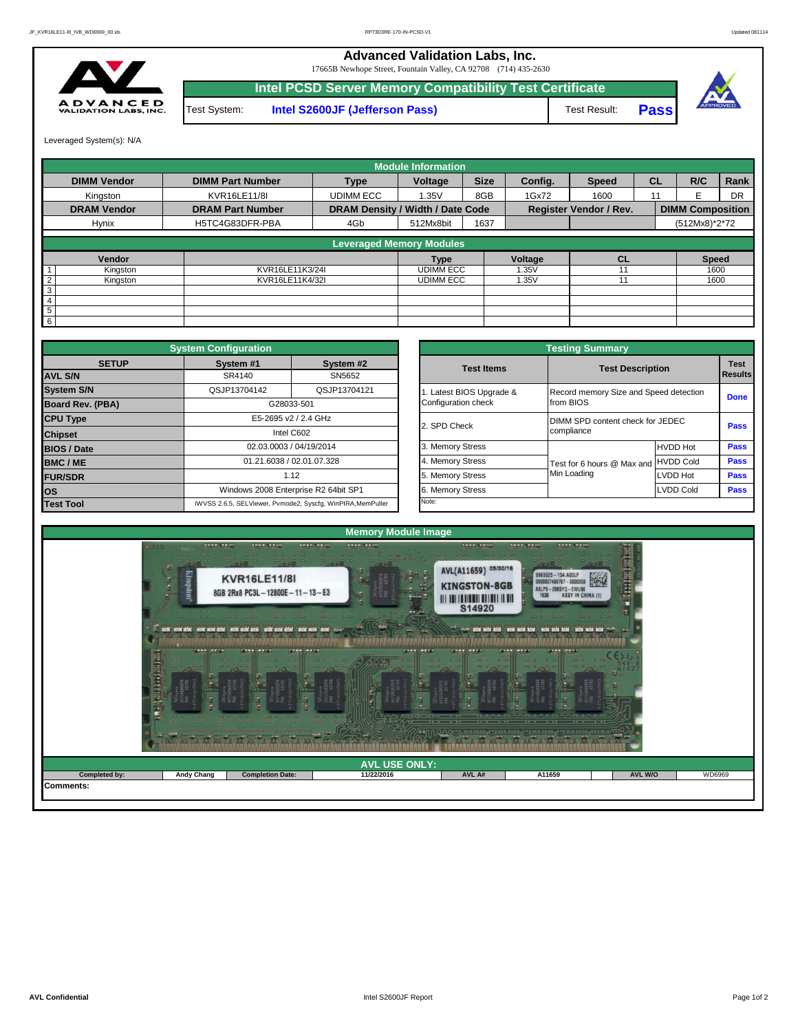**Advanced Validation Labs, Inc.** 

17665B Newhope Street, Fountain Valley, CA 92708 (714) 435-2630



Test System: **Intel S2600JF (Jefferson Pass)** Test Result: **Intel PCSD Server Memory Compatibility Test Certificate**





Leveraged System(s): N/A

|                            |                         |                                  | <b>Module Information</b> |             |         |                               |           |                         |           |
|----------------------------|-------------------------|----------------------------------|---------------------------|-------------|---------|-------------------------------|-----------|-------------------------|-----------|
| <b>DIMM Vendor</b>         | <b>DIMM Part Number</b> | <b>Type</b>                      | Voltage                   | <b>Size</b> | Config. | <b>Speed</b>                  | <b>CL</b> | R/C                     | Rank      |
| Kingston                   | KVR16LE11/8I            | <b>UDIMM ECC</b>                 | 1.35V                     | 8GB         | 1Gx72   | 1600                          | 11        |                         | <b>DR</b> |
| <b>DRAM Vendor</b>         | <b>DRAM Part Number</b> | DRAM Density / Width / Date Code |                           |             |         | <b>Register Vendor / Rev.</b> |           | <b>DIMM Composition</b> |           |
| Hynix                      | H5TC4G83DFR-PBA         | 4Gb                              | 512Mx8bit                 | 1637        |         |                               |           | (512Mx8)*2*72           |           |
|                            |                         | <b>Leveraged Memory Modules</b>  |                           |             |         |                               |           |                         |           |
|                            |                         |                                  |                           |             |         |                               |           |                         |           |
| Vendor                     |                         |                                  | <b>Type</b>               |             | Voltage | <b>CL</b>                     |           | <b>Speed</b>            |           |
| Kingston                   | KVR16LE11K3/24I         |                                  | <b>UDIMM ECC</b>          |             | 1.35V   |                               |           | 1600                    |           |
| $\overline{2}$<br>Kingston | KVR16LE11K4/32I         |                                  | <b>UDIMM ECC</b>          |             | 1.35V   |                               |           | 1600                    |           |
| 3                          |                         |                                  |                           |             |         |                               |           |                         |           |
| $\overline{4}$             |                         |                                  |                           |             |         |                               |           |                         |           |
| 5                          |                         |                                  |                           |             |         |                               |           |                         |           |
| 6                          |                         |                                  |                           |             |         |                               |           |                         |           |

|                         | <b>System Configuration</b> |                                                             |              |                       | <b>Testing Summary</b>                 |                  |                 |  |
|-------------------------|-----------------------------|-------------------------------------------------------------|--------------|-----------------------|----------------------------------------|------------------|-----------------|--|
| <b>SETUP</b>            | System #1                   | System #2                                                   |              | <b>Test Items</b>     | <b>Test Description</b>                |                  | <b>Test</b>     |  |
| <b>AVL S/N</b>          | SR4140                      | SN5652                                                      |              |                       |                                        |                  | <b>I</b> Result |  |
| <b>System S/N</b>       | QSJP13704142                | QSJP13704121                                                |              | Latest BIOS Upgrade & | Record memory Size and Speed detection |                  | Done            |  |
| <b>Board Rev. (PBA)</b> |                             | G28033-501                                                  |              | Configuration check   | from BIOS                              |                  |                 |  |
| <b>CPU Type</b>         |                             | E5-2695 v2 / 2.4 GHz                                        | 2. SPD Check |                       | DIMM SPD content check for JEDEC       |                  |                 |  |
| <b>Chipset</b>          |                             | Intel C602                                                  |              |                       | compliance                             |                  |                 |  |
| <b>BIOS / Date</b>      |                             | 02.03.0003 / 04/19/2014                                     |              | 3. Memory Stress      |                                        | <b>HVDD Hot</b>  | Pass            |  |
| <b>BMC/ME</b>           |                             | 01.21.6038 / 02.01.07.328                                   |              | 4. Memory Stress      | Test for 6 hours @ Max and HVDD Cold   |                  | Pass            |  |
| <b>FUR/SDR</b>          |                             | 1.12                                                        |              | 5. Memory Stress      | Min Loading                            | LVDD Hot         | Pass            |  |
| <b>los</b>              |                             | Windows 2008 Enterprise R2 64bit SP1                        |              | 6. Memory Stress      |                                        | <b>LVDD Cold</b> | Pass            |  |
| <b>Test Tool</b>        |                             | iWVSS 2.6.5, SELViewer, Pvmode2, Syscfq, WinPIRA, MemPuller | Note:        |                       |                                        |                  |                 |  |

|                         |                                                 | <b>Testing Summary</b>                              |                  |                               |
|-------------------------|-------------------------------------------------|-----------------------------------------------------|------------------|-------------------------------|
| System #2<br>SN5652     | <b>Test Items</b>                               | <b>Test Description</b>                             |                  | <b>Test</b><br><b>Results</b> |
| QSJP13704121            | 1. Latest BIOS Upgrade &<br>Configuration check | Record memory Size and Speed detection<br>from BIOS |                  | <b>Done</b>                   |
| <b>GHz</b>              | 2. SPD Check                                    | DIMM SPD content check for JEDEC<br>compliance      |                  | Pass                          |
| /2014                   | 3. Memory Stress                                |                                                     | <b>HVDD Hot</b>  | Pass                          |
| 17.328                  | 4. Memory Stress                                | Test for 6 hours @ Max and                          | <b>HVDD Cold</b> | <b>Pass</b>                   |
|                         | 5. Memory Stress                                | Min Loading                                         | <b>LVDD Hot</b>  | <b>Pass</b>                   |
| R2 64bit SP1            | 6. Memory Stress                                |                                                     | <b>LVDD Cold</b> | <b>Pass</b>                   |
| cfg, WinPIRA, MemPuller | Note:                                           |                                                     |                  |                               |